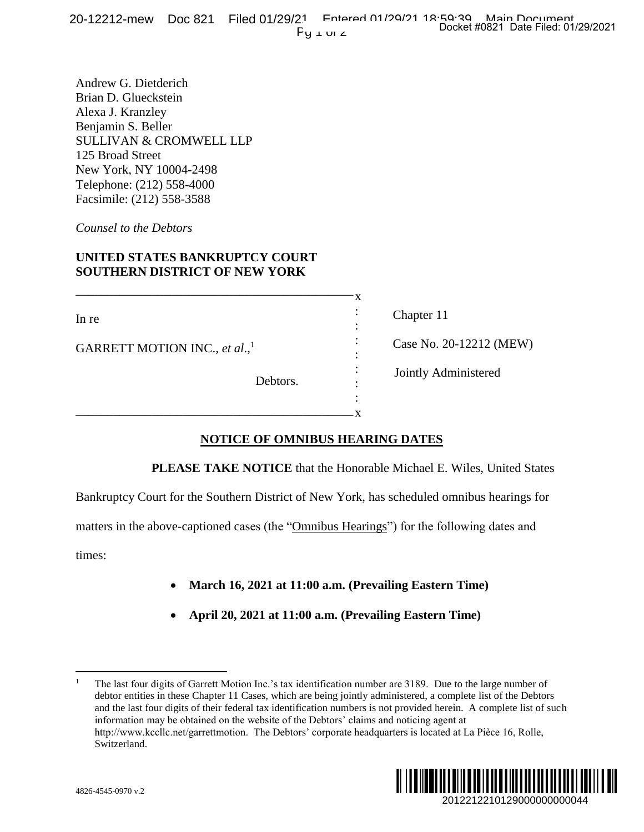Andrew G. Dietderich Brian D. Glueckstein Alexa J. Kranzley Benjamin S. Beller SULLIVAN & CROMWELL LLP 125 Broad Street New York, NY 10004-2498 Telephone: (212) 558-4000 Facsimile: (212) 558-3588

*Counsel to the Debtors*

## **UNITED STATES BANKRUPTCY COURT SOUTHERN DISTRICT OF NEW YORK**

\_\_\_\_\_\_\_\_\_\_\_\_\_\_\_\_\_\_\_\_\_\_\_\_\_\_\_\_\_\_\_\_\_\_\_\_\_\_\_\_\_\_\_\_

\_\_\_\_\_\_\_\_\_\_\_\_\_\_\_\_\_\_\_\_\_\_\_\_\_\_\_\_\_\_\_\_\_\_\_\_\_\_\_\_\_\_\_\_

In re

GARRETT MOTION INC., *et al*., 1

Chapter 11 Case No. 20-12212 (MEW) Jointly Administered

Debtors.

# **NOTICE OF OMNIBUS HEARING DATES**

**PLEASE TAKE NOTICE** that the Honorable Michael E. Wiles, United States

x : : : : : : : x

Bankruptcy Court for the Southern District of New York, has scheduled omnibus hearings for

matters in the above-captioned cases (the "Omnibus Hearings") for the following dates and

times:

 $\overline{a}$ 

- **March 16, 2021 at 11:00 a.m. (Prevailing Eastern Time)**
- **April 20, 2021 at 11:00 a.m. (Prevailing Eastern Time)**

<sup>1</sup> The last four digits of Garrett Motion Inc.'s tax identification number are 3189. Due to the large number of debtor entities in these Chapter 11 Cases, which are being jointly administered, a complete list of the Debtors and the last four digits of their federal tax identification numbers is not provided herein. A complete list of such information may be obtained on the website of the Debtors' claims and noticing agent at http://www.kccllc.net/garrettmotion. The Debtors' corporate headquarters is located at La Pièce 16, Rolle, Switzerland. Docket #0821 Date Filed: 01/29/2021<br>
20-12212 (MEW)<br>
dministered<br>
2<br>
E. Wiles, United States<br>
ommibus hearings for<br>
following dates and<br> **Properties:** to the large number of<br>
nomplete list of the Debtors<br>
egent at<br>
dat La